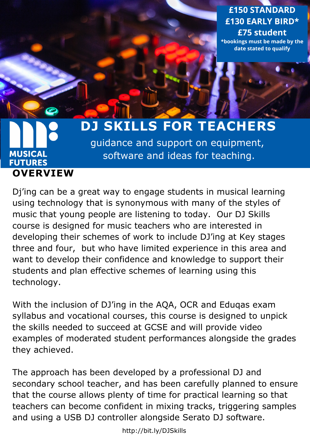**£150 [STANDARD](https://www.musicalfutures.org/training-type/just-playhttp:/bit.ly/JustPlayCourse) £130 EARLY BIRD\* £75 student \*bookings must be made by the date stated to qualify**

# **MUSICAL FUTURES [OVERVIEW](http://bit.ly/MusicalFuturesDublin)**

# **DJ SKILLS FOR [TEACHERS](http://bit.ly/DJSkills)**

[guidance and support on equipment,](http://bit.ly/DJSkills) software and ideas for teaching.

Dj'ing can be a great way to engage students in musical learning using technology that is synonymous with many of the styles of music that young people are listening to today. Our DJ Skills course is designed for music teachers who are interested in developing their schemes of work to include DJ'ing at Key stages three and four, but who have limited experience in this area and want to develop their confidence and knowledge to support their students and plan effective schemes of learning using this technology.

With the inclusion of DJ'ing in the AQA, OCR and Eduqas exam syllabus and vocational courses, this course is designed to unpick the skills needed to succeed at GCSE and will provide video examples of moderated student [performances](http://bit.ly/DJSkills) alongside the grades they achieved.

The approach has been developed by a professional DJ and secondary school teacher, and has been carefully planned to ensure that the course allows plenty of time for practical learning so that teachers can become confident in mixing tracks, triggering samples and using a USB DJ controller alongside Serato DJ software.

<http://bit.ly/DJSkills>